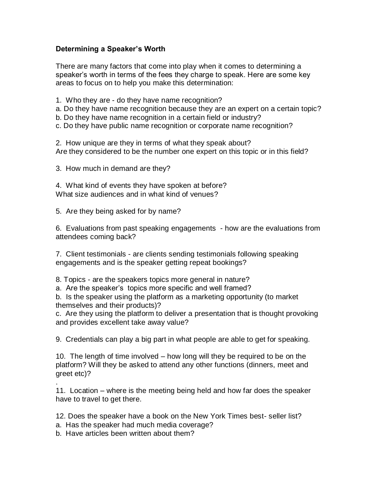## **Determining a Speaker's Worth**

There are many factors that come into play when it comes to determining a speaker's worth in terms of the fees they charge to speak. Here are some key areas to focus on to help you make this determination:

- 1. Who they are do they have name recognition?
- a. Do they have name recognition because they are an expert on a certain topic?
- b. Do they have name recognition in a certain field or industry?
- c. Do they have public name recognition or corporate name recognition?

2. How unique are they in terms of what they speak about? Are they considered to be the number one expert on this topic or in this field?

3. How much in demand are they?

4. What kind of events they have spoken at before? What size audiences and in what kind of venues?

5. Are they being asked for by name?

6. Evaluations from past speaking engagements - how are the evaluations from attendees coming back?

7. Client testimonials - are clients sending testimonials following speaking engagements and is the speaker getting repeat bookings?

8. Topics - are the speakers topics more general in nature?

a. Are the speaker's topics more specific and well framed?

b. Is the speaker using the platform as a marketing opportunity (to market themselves and their products)?

c. Are they using the platform to deliver a presentation that is thought provoking and provides excellent take away value?

9. Credentials can play a big part in what people are able to get for speaking.

10. The length of time involved – how long will they be required to be on the platform? Will they be asked to attend any other functions (dinners, meet and greet etc)?

11. Location – where is the meeting being held and how far does the speaker have to travel to get there.

12. Does the speaker have a book on the New York Times best- seller list?

a. Has the speaker had much media coverage?

b. Have articles been written about them?

.